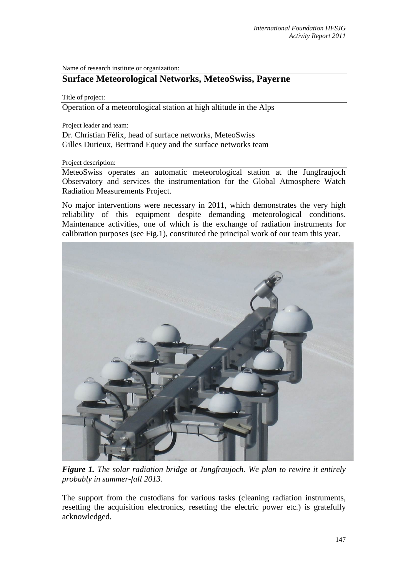Name of research institute or organization:

## **Surface Meteorological Networks, MeteoSwiss, Payerne**

Title of project:

Operation of a meteorological station at high altitude in the Alps

Project leader and team:

Dr. Christian Félix, head of surface networks, MeteoSwiss Gilles Durieux, Bertrand Equey and the surface networks team

Project description:

MeteoSwiss operates an automatic meteorological station at the Jungfraujoch Observatory and services the instrumentation for the Global Atmosphere Watch Radiation Measurements Project.

No major interventions were necessary in 2011, which demonstrates the very high reliability of this equipment despite demanding meteorological conditions. Maintenance activities, one of which is the exchange of radiation instruments for calibration purposes (see Fig.1), constituted the principal work of our team this year.



*Figure 1. The solar radiation bridge at Jungfraujoch. We plan to rewire it entirely probably in summer-fall 2013.* 

The support from the custodians for various tasks (cleaning radiation instruments, resetting the acquisition electronics, resetting the electric power etc.) is gratefully acknowledged.